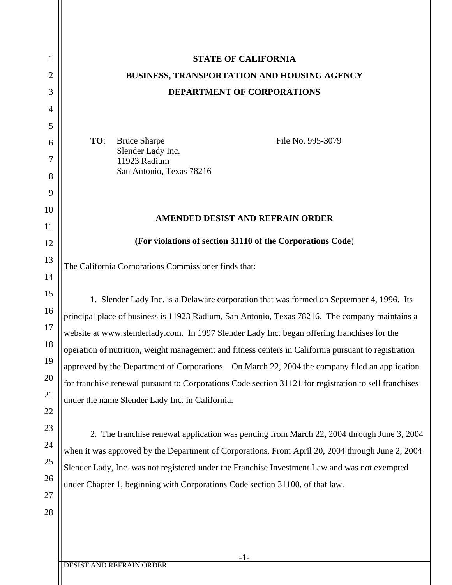| 1  | <b>STATE OF CALIFORNIA</b>                                                                            |
|----|-------------------------------------------------------------------------------------------------------|
| 2  | <b>BUSINESS, TRANSPORTATION AND HOUSING AGENCY</b>                                                    |
| 3  | DEPARTMENT OF CORPORATIONS                                                                            |
| 4  |                                                                                                       |
| 5  |                                                                                                       |
| 6  | <b>Bruce Sharpe</b><br>TO:<br>File No. 995-3079<br>Slender Lady Inc.                                  |
| 7  | 11923 Radium                                                                                          |
| 8  | San Antonio, Texas 78216                                                                              |
| 9  |                                                                                                       |
| 10 | AMENDED DESIST AND REFRAIN ORDER                                                                      |
| 11 |                                                                                                       |
| 12 | (For violations of section 31110 of the Corporations Code)                                            |
| 13 | The California Corporations Commissioner finds that:                                                  |
| 14 |                                                                                                       |
| 15 | 1. Slender Lady Inc. is a Delaware corporation that was formed on September 4, 1996. Its              |
| 16 | principal place of business is 11923 Radium, San Antonio, Texas 78216. The company maintains a        |
| 17 | website at www.slenderlady.com. In 1997 Slender Lady Inc. began offering franchises for the           |
| 18 | operation of nutrition, weight management and fitness centers in California pursuant to registration  |
| 19 | approved by the Department of Corporations. On March 22, 2004 the company filed an application        |
| 20 | for franchise renewal pursuant to Corporations Code section 31121 for registration to sell franchises |
| 21 | under the name Slender Lady Inc. in California.                                                       |
| 22 |                                                                                                       |
| 23 | 2. The franchise renewal application was pending from March 22, 2004 through June 3, 2004             |
| 24 | when it was approved by the Department of Corporations. From April 20, 2004 through June 2, 2004      |
| 25 | Slender Lady, Inc. was not registered under the Franchise Investment Law and was not exempted         |
| 26 | under Chapter 1, beginning with Corporations Code section 31100, of that law.                         |
| 27 |                                                                                                       |
| 28 |                                                                                                       |
|    |                                                                                                       |
|    |                                                                                                       |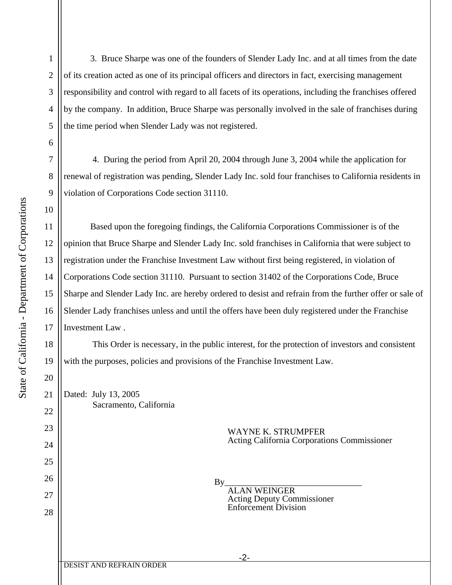1

2

3

4

5

6

7

8

9

10

11

12

13

14

15

16

17

18

19

20

21

22

23

24

25

26

27

28

 3. Bruce Sharpe was one of the founders of Slender Lady Inc. and at all times from the date of its creation acted as one of its principal officers and directors in fact, exercising management responsibility and control with regard to all facets of its operations, including the franchises offered by the company. In addition, Bruce Sharpe was personally involved in the sale of franchises during the time period when Slender Lady was not registered.

 4. During the period from April 20, 2004 through June 3, 2004 while the application for renewal of registration was pending, Slender Lady Inc. sold four franchises to California residents in violation of Corporations Code section 31110.

 Based upon the foregoing findings, the California Corporations Commissioner is of the opinion that Bruce Sharpe and Slender Lady Inc. sold franchises in California that were subject to registration under the Franchise Investment Law without first being registered, in violation of Corporations Code section 31110. Pursuant to section 31402 of the Corporations Code, Bruce Sharpe and Slender Lady Inc. are hereby ordered to desist and refrain from the further offer or sale of Slender Lady franchises unless and until the offers have been duly registered under the Franchise Investment Law .

 This Order is necessary, in the public interest, for the protection of investors and consistent with the purposes, policies and provisions of the Franchise Investment Law.

Dated: July 13, 2005 Sacramento, California

 WAYNE K. STRUMPFER Acting California Corporations Commissioner

By\_\_\_\_\_\_\_\_\_\_\_\_\_\_\_\_\_\_\_\_\_\_\_\_\_\_\_\_\_\_\_

 ALAN WEINGER Acting Deputy Commissioner Enforcement Division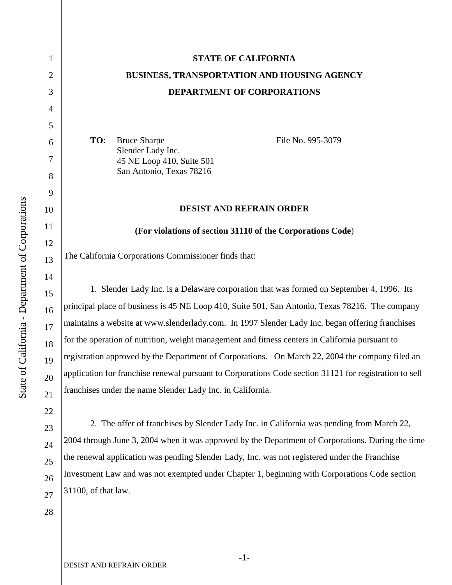1

2

3

4

5

6

7

8

9

10

11

12

13

14

15

16

17

18

19

20

21

22

23

24

25

26

27

## **STATE OF CALIFORNIA BUSINESS, TRANSPORTATION AND HOUSING AGENCY DEPARTMENT OF CORPORATIONS**

**TO**: Bruce Sharpe Slender Lady Inc. 45 NE Loop 410, Suite 501 San Antonio, Texas 78216

File No. 995-3079

## **DESIST AND REFRAIN ORDER**

**(For violations of section 31110 of the Corporations Code**)

The California Corporations Commissioner finds that:

1. Slender Lady Inc. is a Delaware corporation that was formed on September 4, 1996. Its principal place of business is 45 NE Loop 410, Suite 501, San Antonio, Texas 78216. The company maintains a website at www.slenderlady.com. In 1997 Slender Lady Inc. began offering franchises for the operation of nutrition, weight management and fitness centers in California pursuant to registration approved by the Department of Corporations. On March 22, 2004 the company filed an application for franchise renewal pursuant to Corporations Code section 31121 for registration to sell franchises under the name Slender Lady Inc. in California.

2. The offer of franchises by Slender Lady Inc. in California was pending from March 22, 2004 through June 3, 2004 when it was approved by the Department of Corporations. During the time the renewal application was pending Slender Lady, Inc. was not registered under the Franchise Investment Law and was not exempted under Chapter 1, beginning with Corporations Code section 31100, of that law.

28